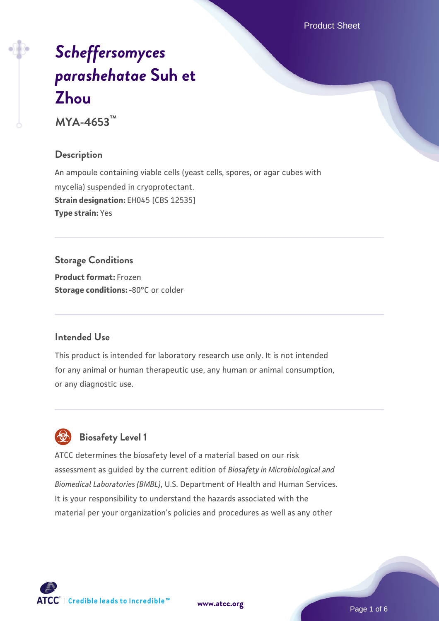Product Sheet

# *[Scheffersomyces](https://www.atcc.org/products/mya-4653) [parashehatae](https://www.atcc.org/products/mya-4653)* **[Suh et](https://www.atcc.org/products/mya-4653) [Zhou](https://www.atcc.org/products/mya-4653)**

**MYA-4653™**

# **Description**

An ampoule containing viable cells (yeast cells, spores, or agar cubes with mycelia) suspended in cryoprotectant. **Strain designation:** EH045 [CBS 12535] **Type strain:** Yes

# **Storage Conditions**

**Product format:** Frozen **Storage conditions: -80°C or colder** 

# **Intended Use**

This product is intended for laboratory research use only. It is not intended for any animal or human therapeutic use, any human or animal consumption, or any diagnostic use.



# **Biosafety Level 1**

ATCC determines the biosafety level of a material based on our risk assessment as guided by the current edition of *Biosafety in Microbiological and Biomedical Laboratories (BMBL)*, U.S. Department of Health and Human Services. It is your responsibility to understand the hazards associated with the material per your organization's policies and procedures as well as any other

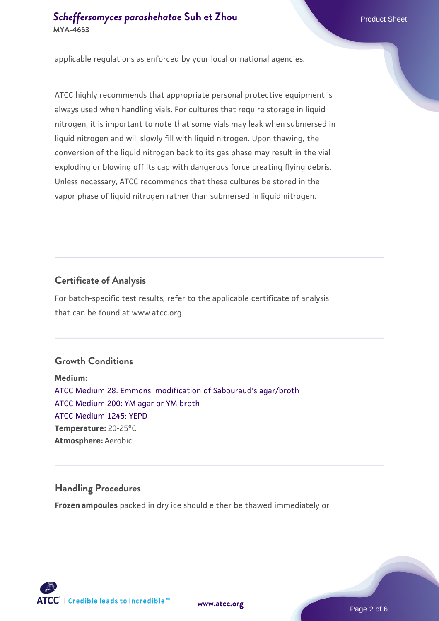applicable regulations as enforced by your local or national agencies.

ATCC highly recommends that appropriate personal protective equipment is always used when handling vials. For cultures that require storage in liquid nitrogen, it is important to note that some vials may leak when submersed in liquid nitrogen and will slowly fill with liquid nitrogen. Upon thawing, the conversion of the liquid nitrogen back to its gas phase may result in the vial exploding or blowing off its cap with dangerous force creating flying debris. Unless necessary, ATCC recommends that these cultures be stored in the vapor phase of liquid nitrogen rather than submersed in liquid nitrogen.

# **Certificate of Analysis**

For batch-specific test results, refer to the applicable certificate of analysis that can be found at www.atcc.org.

# **Growth Conditions**

**Medium:**  [ATCC Medium 28: Emmons' modification of Sabouraud's agar/broth](https://www.atcc.org/-/media/product-assets/documents/microbial-media-formulations/2/8/atcc-medium-28.pdf?rev=0da0c58cc2a343eeae735016b70809bb) [ATCC Medium 200: YM agar or YM broth](https://www.atcc.org/-/media/product-assets/documents/microbial-media-formulations/2/0/0/atcc-medium-200.pdf?rev=ac40fd74dc13433a809367b0b9da30fc) [ATCC Medium 1245: YEPD](https://www.atcc.org/-/media/product-assets/documents/microbial-media-formulations/1/2/4/5/atcc-medium-1245.pdf?rev=705ca55d1b6f490a808a965d5c072196) **Temperature:** 20-25°C **Atmosphere:** Aerobic

# **Handling Procedures**

**Frozen ampoules** packed in dry ice should either be thawed immediately or

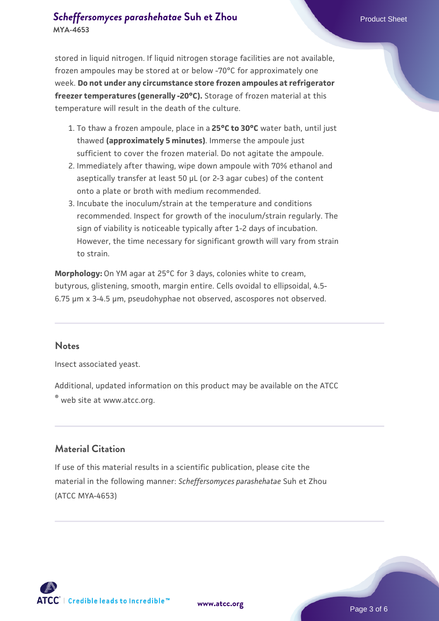# **[Scheffersomyces parashehatae](https://www.atcc.org/products/mya-4653) [Suh et Zhou](https://www.atcc.org/products/mya-4653)** Product Sheet **MYA-4653**

stored in liquid nitrogen. If liquid nitrogen storage facilities are not available, frozen ampoules may be stored at or below -70°C for approximately one week. **Do not under any circumstance store frozen ampoules at refrigerator freezer temperatures (generally -20°C).** Storage of frozen material at this temperature will result in the death of the culture.

- To thaw a frozen ampoule, place in a **25°C to 30°C** water bath, until just 1. thawed **(approximately 5 minutes)**. Immerse the ampoule just sufficient to cover the frozen material. Do not agitate the ampoule.
- 2. Immediately after thawing, wipe down ampoule with 70% ethanol and aseptically transfer at least 50 µL (or 2-3 agar cubes) of the content onto a plate or broth with medium recommended.
- 3. Incubate the inoculum/strain at the temperature and conditions recommended. Inspect for growth of the inoculum/strain regularly. The sign of viability is noticeable typically after 1-2 days of incubation. However, the time necessary for significant growth will vary from strain to strain.

**Morphology:** On YM agar at 25°C for 3 days, colonies white to cream, butyrous, glistening, smooth, margin entire. Cells ovoidal to ellipsoidal, 4.5- 6.75 µm x 3-4.5 µm, pseudohyphae not observed, ascospores not observed.

#### **Notes**

Insect associated yeast.

Additional, updated information on this product may be available on the ATCC

® web site at www.atcc.org.

# **Material Citation**

If use of this material results in a scientific publication, please cite the material in the following manner: *Scheffersomyces parashehatae* Suh et Zhou (ATCC MYA-4653)



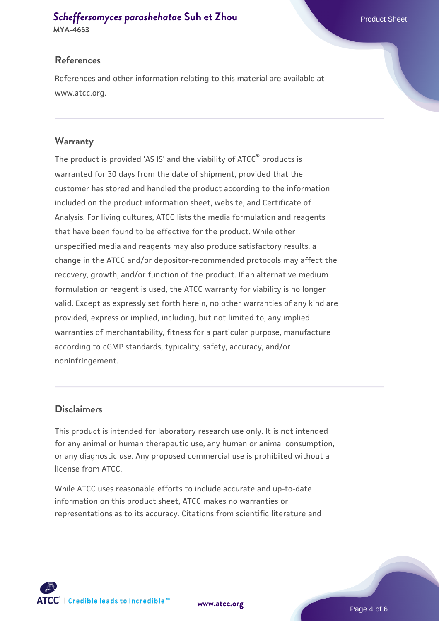# **[Scheffersomyces parashehatae](https://www.atcc.org/products/mya-4653) [Suh et Zhou](https://www.atcc.org/products/mya-4653)** Product Sheet

**MYA-4653**

# **References**

References and other information relating to this material are available at www.atcc.org.

# **Warranty**

The product is provided 'AS IS' and the viability of ATCC® products is warranted for 30 days from the date of shipment, provided that the customer has stored and handled the product according to the information included on the product information sheet, website, and Certificate of Analysis. For living cultures, ATCC lists the media formulation and reagents that have been found to be effective for the product. While other unspecified media and reagents may also produce satisfactory results, a change in the ATCC and/or depositor-recommended protocols may affect the recovery, growth, and/or function of the product. If an alternative medium formulation or reagent is used, the ATCC warranty for viability is no longer valid. Except as expressly set forth herein, no other warranties of any kind are provided, express or implied, including, but not limited to, any implied warranties of merchantability, fitness for a particular purpose, manufacture according to cGMP standards, typicality, safety, accuracy, and/or noninfringement.

# **Disclaimers**

This product is intended for laboratory research use only. It is not intended for any animal or human therapeutic use, any human or animal consumption, or any diagnostic use. Any proposed commercial use is prohibited without a license from ATCC.

While ATCC uses reasonable efforts to include accurate and up-to-date information on this product sheet, ATCC makes no warranties or representations as to its accuracy. Citations from scientific literature and

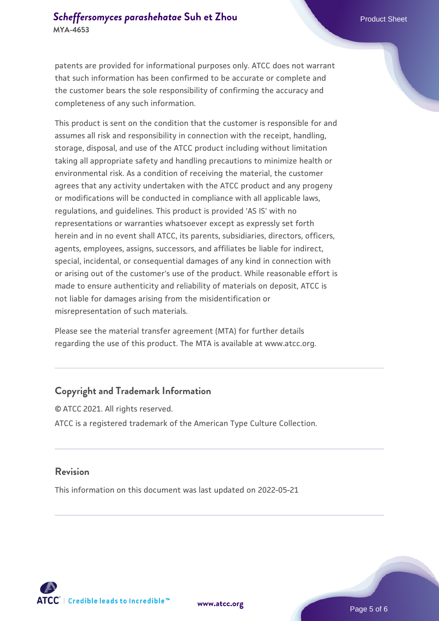# **[Scheffersomyces parashehatae](https://www.atcc.org/products/mya-4653) [Suh et Zhou](https://www.atcc.org/products/mya-4653)** Product Sheet **MYA-4653**

patents are provided for informational purposes only. ATCC does not warrant that such information has been confirmed to be accurate or complete and the customer bears the sole responsibility of confirming the accuracy and completeness of any such information.

This product is sent on the condition that the customer is responsible for and assumes all risk and responsibility in connection with the receipt, handling, storage, disposal, and use of the ATCC product including without limitation taking all appropriate safety and handling precautions to minimize health or environmental risk. As a condition of receiving the material, the customer agrees that any activity undertaken with the ATCC product and any progeny or modifications will be conducted in compliance with all applicable laws, regulations, and guidelines. This product is provided 'AS IS' with no representations or warranties whatsoever except as expressly set forth herein and in no event shall ATCC, its parents, subsidiaries, directors, officers, agents, employees, assigns, successors, and affiliates be liable for indirect, special, incidental, or consequential damages of any kind in connection with or arising out of the customer's use of the product. While reasonable effort is made to ensure authenticity and reliability of materials on deposit, ATCC is not liable for damages arising from the misidentification or misrepresentation of such materials.

Please see the material transfer agreement (MTA) for further details regarding the use of this product. The MTA is available at www.atcc.org.

# **Copyright and Trademark Information**

© ATCC 2021. All rights reserved. ATCC is a registered trademark of the American Type Culture Collection.

#### **Revision**

This information on this document was last updated on 2022-05-21



**[www.atcc.org](http://www.atcc.org)**